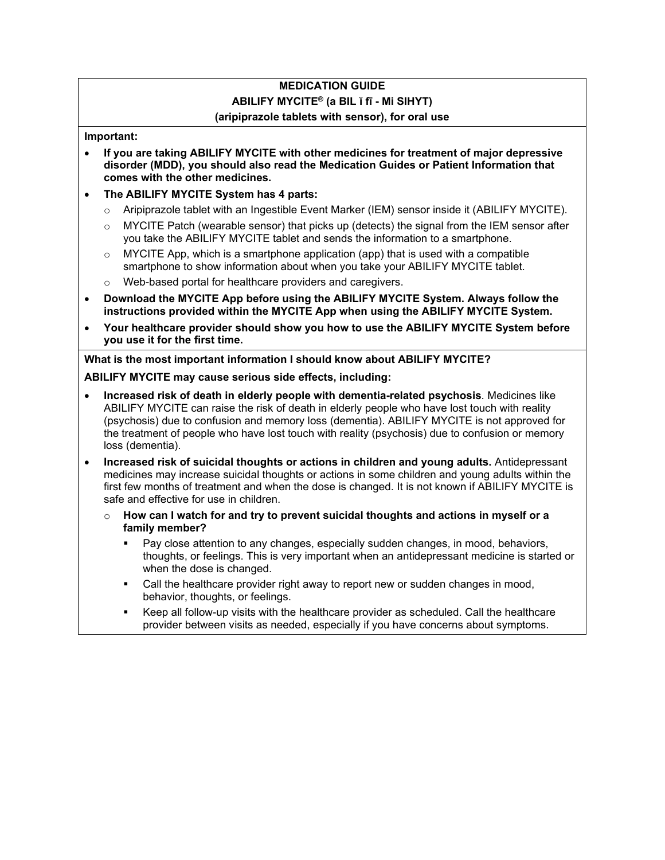# **MEDICATION GUIDE**

## **ABILIFY MYCITE® (a BIL ĭ fī - Mi SIHYT)**

#### **(aripiprazole tablets with sensor), for oral use**

#### **Important:**

- **If you are taking ABILIFY MYCITE with other medicines for treatment of major depressive disorder (MDD), you should also read the Medication Guides or Patient Information that comes with the other medicines.**
- **The ABILIFY MYCITE System has 4 parts:**
	- o Aripiprazole tablet with an Ingestible Event Marker (IEM) sensor inside it (ABILIFY MYCITE).
	- $\circ$  MYCITE Patch (wearable sensor) that picks up (detects) the signal from the IEM sensor after you take the ABILIFY MYCITE tablet and sends the information to a smartphone.
	- $\circ$  MYCITE App, which is a smartphone application (app) that is used with a compatible smartphone to show information about when you take your ABILIFY MYCITE tablet.
	- o Web-based portal for healthcare providers and caregivers.
- **Download the MYCITE App before using the ABILIFY MYCITE System. Always follow the instructions provided within the MYCITE App when using the ABILIFY MYCITE System.**
- **Your healthcare provider should show you how to use the ABILIFY MYCITE System before you use it for the first time.**

**What is the most important information I should know about ABILIFY MYCITE?**

**ABILIFY MYCITE may cause serious side effects, including:**

- **Increased risk of death in elderly people with dementia-related psychosis**. Medicines like ABILIFY MYCITE can raise the risk of death in elderly people who have lost touch with reality (psychosis) due to confusion and memory loss (dementia). ABILIFY MYCITE is not approved for the treatment of people who have lost touch with reality (psychosis) due to confusion or memory loss (dementia).
- **Increased risk of suicidal thoughts or actions in children and young adults.** Antidepressant medicines may increase suicidal thoughts or actions in some children and young adults within the first few months of treatment and when the dose is changed. It is not known if ABILIFY MYCITE is safe and effective for use in children.
	- o **How can I watch for and try to prevent suicidal thoughts and actions in myself or a family member?**
		- Pay close attention to any changes, especially sudden changes, in mood, behaviors, thoughts, or feelings. This is very important when an antidepressant medicine is started or when the dose is changed.
		- Call the healthcare provider right away to report new or sudden changes in mood, behavior, thoughts, or feelings.
		- Keep all follow-up visits with the healthcare provider as scheduled. Call the healthcare provider between visits as needed, especially if you have concerns about symptoms.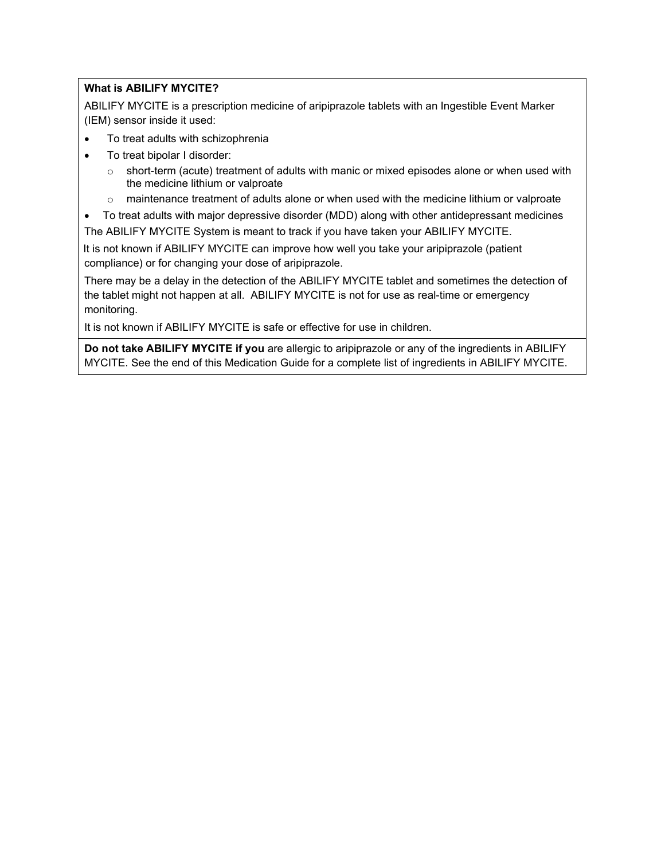### **What is ABILIFY MYCITE?**

ABILIFY MYCITE is a prescription medicine of aripiprazole tablets with an Ingestible Event Marker (IEM) sensor inside it used:

- To treat adults with schizophrenia
- To treat bipolar I disorder:
	- $\circ$  short-term (acute) treatment of adults with manic or mixed episodes alone or when used with the medicine lithium or valproate
	- o maintenance treatment of adults alone or when used with the medicine lithium or valproate
- To treat adults with major depressive disorder (MDD) along with other antidepressant medicines

The ABILIFY MYCITE System is meant to track if you have taken your ABILIFY MYCITE.

It is not known if ABILIFY MYCITE can improve how well you take your aripiprazole (patient compliance) or for changing your dose of aripiprazole.

There may be a delay in the detection of the ABILIFY MYCITE tablet and sometimes the detection of the tablet might not happen at all. ABILIFY MYCITE is not for use as real-time or emergency monitoring.

It is not known if ABILIFY MYCITE is safe or effective for use in children.

**Do not take ABILIFY MYCITE if you** are allergic to aripiprazole or any of the ingredients in ABILIFY MYCITE. See the end of this Medication Guide for a [complete list of ingredients](#page-5-0) in ABILIFY MYCITE.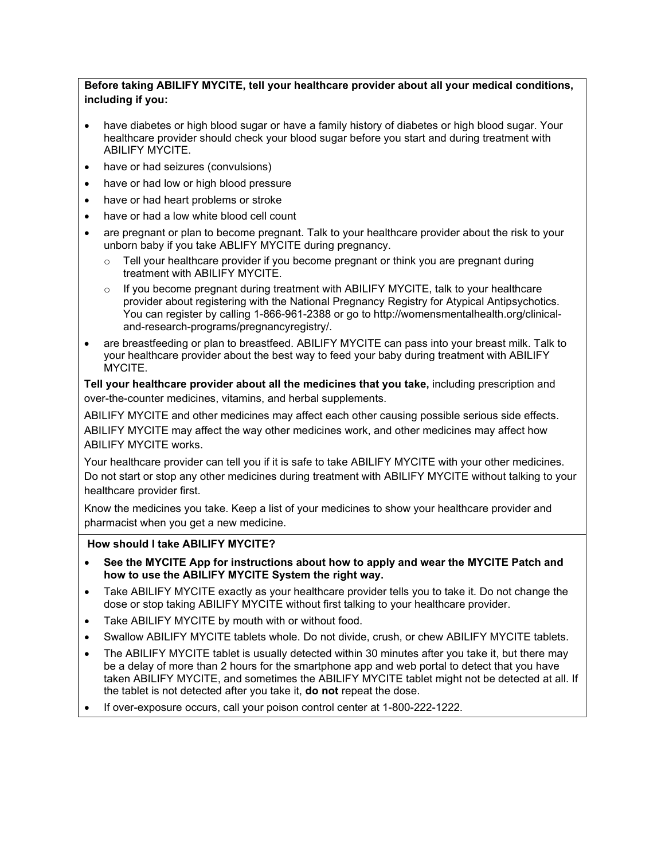#### **Before taking ABILIFY MYCITE, tell your healthcare provider about all your medical conditions, including if you:**

- have diabetes or high blood sugar or have a family history of diabetes or high blood sugar. Your healthcare provider should check your blood sugar before you start and during treatment with ABILIFY MYCITE.
- have or had seizures (convulsions)
- have or had low or high blood pressure
- have or had heart problems or stroke
- have or had a low white blood cell count
- are pregnant or plan to become pregnant. Talk to your healthcare provider about the risk to your unborn baby if you take ABLIFY MYCITE during pregnancy.
	- $\circ$  Tell your healthcare provider if you become pregnant or think you are pregnant during treatment with ABILIFY MYCITE.
	- $\circ$  If you become pregnant during treatment with ABILIFY MYCITE, talk to your healthcare provider about registering with the National Pregnancy Registry for Atypical Antipsychotics. You can register by calling 1-866-961-2388 or go to http://womensmentalhealth.org/clinicaland-research-programs/pregnancyregistry/.
- are breastfeeding or plan to breastfeed. ABILIFY MYCITE can pass into your breast milk. Talk to your healthcare provider about the best way to feed your baby during treatment with ABILIFY MYCITE.

**Tell your healthcare provider about all the medicines that you take,** including prescription and over-the-counter medicines, vitamins, and herbal supplements.

ABILIFY MYCITE and other medicines may affect each other causing possible serious side effects. ABILIFY MYCITE may affect the way other medicines work, and other medicines may affect how ABILIFY MYCITE works.

Your healthcare provider can tell you if it is safe to take ABILIFY MYCITE with your other medicines. Do not start or stop any other medicines during treatment with ABILIFY MYCITE without talking to your healthcare provider first.

Know the medicines you take. Keep a list of your medicines to show your healthcare provider and pharmacist when you get a new medicine.

#### **How should I take ABILIFY MYCITE?**

- **See the MYCITE App for instructions about how to apply and wear the MYCITE Patch and how to use the ABILIFY MYCITE System the right way.**
- Take ABILIFY MYCITE exactly as your healthcare provider tells you to take it. Do not change the dose or stop taking ABILIFY MYCITE without first talking to your healthcare provider.
- Take ABILIFY MYCITE by mouth with or without food.
- Swallow ABILIFY MYCITE tablets whole. Do not divide, crush, or chew ABILIFY MYCITE tablets.
- The ABILIFY MYCITE tablet is usually detected within 30 minutes after you take it, but there may be a delay of more than 2 hours for the smartphone app and web portal to detect that you have taken ABILIFY MYCITE, and sometimes the ABILIFY MYCITE tablet might not be detected at all. If the tablet is not detected after you take it, **do not** repeat the dose.
- If over-exposure occurs, call your poison control center at 1-800-222-1222.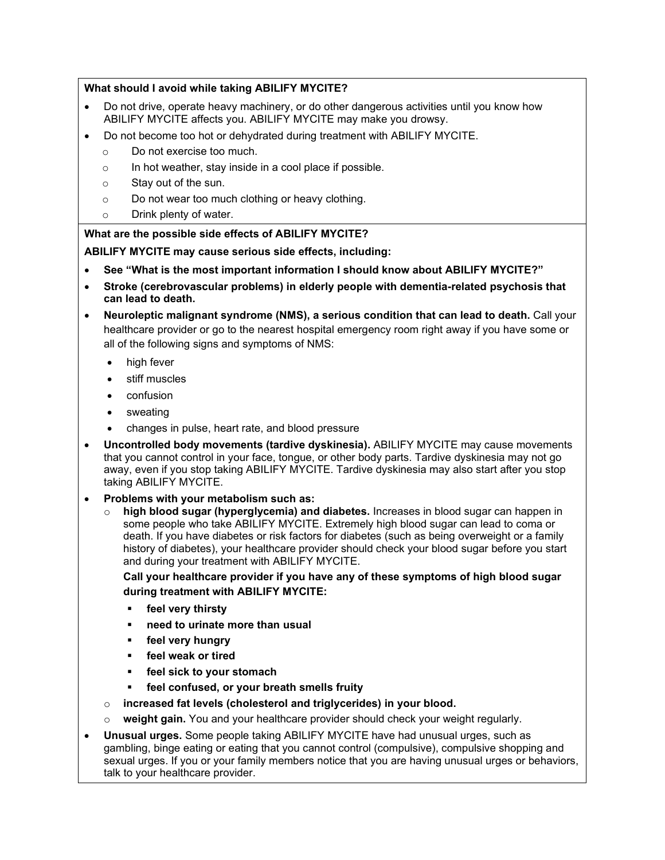#### **What should I avoid while taking ABILIFY MYCITE?**

- Do not drive, operate heavy machinery, or do other dangerous activities until you know how ABILIFY MYCITE affects you. ABILIFY MYCITE may make you drowsy.
- Do not become too hot or dehydrated during treatment with ABILIFY MYCITE.
	- o Do not exercise too much.
	- o In hot weather, stay inside in a cool place if possible.
	- o Stay out of the sun.
	- o Do not wear too much clothing or heavy clothing.
	- o Drink plenty of water.

#### **What are the possible side effects of ABILIFY MYCITE?**

#### **ABILIFY MYCITE may cause serious side effects, including:**

- **See "What is the most important information I should know about ABILIFY MYCITE?"**
- **Stroke (cerebrovascular problems) in elderly people with dementia-related psychosis that can lead to death.**
- **Neuroleptic malignant syndrome (NMS), a serious condition that can lead to death.** Call your healthcare provider or go to the nearest hospital emergency room right away if you have some or all of the following signs and symptoms of NMS:
	- high fever
	- stiff muscles
	- confusion
	- **sweating**
	- changes in pulse, heart rate, and blood pressure
- **Uncontrolled body movements (tardive dyskinesia).** ABILIFY MYCITE may cause movements that you cannot control in your face, tongue, or other body parts. Tardive dyskinesia may not go away, even if you stop taking ABILIFY MYCITE. Tardive dyskinesia may also start after you stop taking ABILIFY MYCITE.
- **Problems with your metabolism such as:**
	- o **high blood sugar (hyperglycemia) and diabetes.** Increases in blood sugar can happen in some people who take ABILIFY MYCITE. Extremely high blood sugar can lead to coma or death. If you have diabetes or risk factors for diabetes (such as being overweight or a family history of diabetes), your healthcare provider should check your blood sugar before you start and during your treatment with ABILIFY MYCITE.

**Call your healthcare provider if you have any of these symptoms of high blood sugar during treatment with ABILIFY MYCITE:**

- **feel very thirsty**
- **need to urinate more than usual**
- **feel very hungry**
- **feel weak or tired**
- **feel sick to your stomach**
- **feel confused, or your breath smells fruity**
- o **increased fat levels (cholesterol and triglycerides) in your blood.**
- o **weight gain.** You and your healthcare provider should check your weight regularly.
- **Unusual urges.** Some people taking ABILIFY MYCITE have had unusual urges, such as gambling, binge eating or eating that you cannot control (compulsive), compulsive shopping and sexual urges. If you or your family members notice that you are having unusual urges or behaviors, talk to your healthcare provider.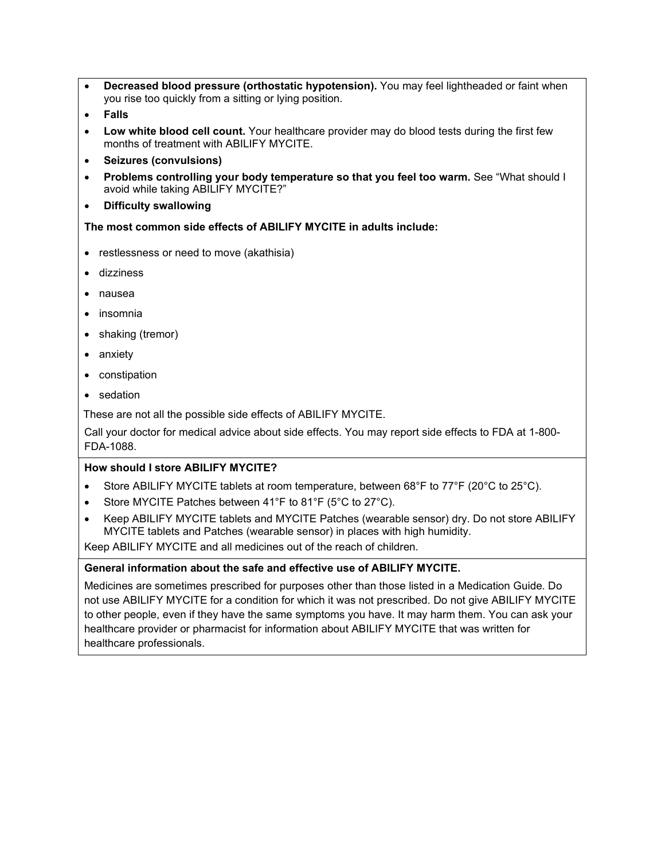- **Decreased blood pressure (orthostatic hypotension).** You may feel lightheaded or faint when you rise too quickly from a sitting or lying position.
- **Falls**
- **Low white blood cell count.** Your healthcare provider may do blood tests during the first few months of treatment with ABILIFY MYCITE.
- **Seizures (convulsions)**
- **Problems controlling your body temperature so that you feel too warm.** See "What should I avoid while taking ABILIFY MYCITE?"
- **Difficulty swallowing**

**The most common side effects of ABILIFY MYCITE in adults include:**

- restlessness or need to move (akathisia)
- dizziness
- nausea
- insomnia
- shaking (tremor)
- anxiety
- constipation
- sedation

These are not all the possible side effects of ABILIFY MYCITE.

Call your doctor for medical advice about side effects. You may report side effects to FDA at 1-800- FDA-1088.

#### **How should I store ABILIFY MYCITE?**

- Store ABILIFY MYCITE tablets at room temperature, between 68°F to 77°F (20°C to 25°C).
- Store MYCITE Patches between 41°F to 81°F (5°C to 27°C).
- Keep ABILIFY MYCITE tablets and MYCITE Patches (wearable sensor) dry. Do not store ABILIFY MYCITE tablets and Patches (wearable sensor) in places with high humidity.

Keep ABILIFY MYCITE and all medicines out of the reach of children.

#### **General information about the safe and effective use of ABILIFY MYCITE.**

Medicines are sometimes prescribed for purposes other than those listed in a Medication Guide. Do not use ABILIFY MYCITE for a condition for which it was not prescribed. Do not give ABILIFY MYCITE to other people, even if they have the same symptoms you have. It may harm them. You can ask your healthcare provider or pharmacist for information about ABILIFY MYCITE that was written for healthcare professionals.